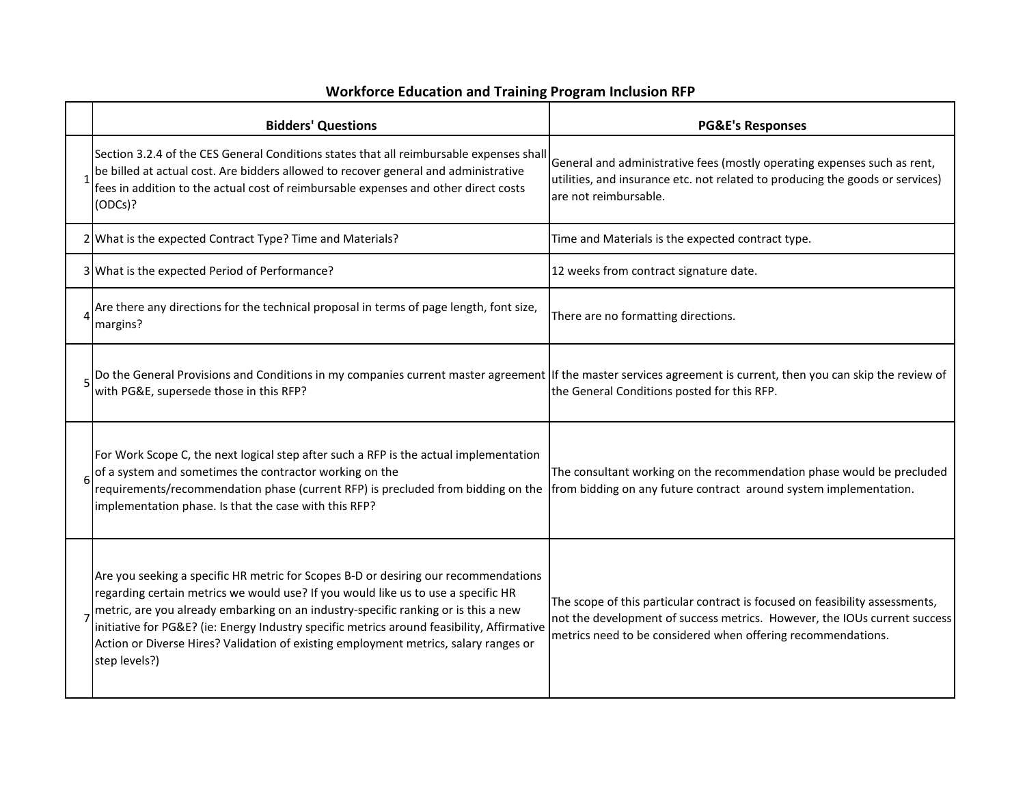## **Workforce Education and Training Program Inclusion RFP**

| <b>Bidders' Questions</b>                                                                                                                                                                                                                                                                                                                                                                                                                                             | <b>PG&amp;E's Responses</b>                                                                                                                                                                                               |
|-----------------------------------------------------------------------------------------------------------------------------------------------------------------------------------------------------------------------------------------------------------------------------------------------------------------------------------------------------------------------------------------------------------------------------------------------------------------------|---------------------------------------------------------------------------------------------------------------------------------------------------------------------------------------------------------------------------|
| Section 3.2.4 of the CES General Conditions states that all reimbursable expenses shall<br>be billed at actual cost. Are bidders allowed to recover general and administrative<br>fees in addition to the actual cost of reimbursable expenses and other direct costs<br>(ODCs)?                                                                                                                                                                                      | General and administrative fees (mostly operating expenses such as rent,<br>utilities, and insurance etc. not related to producing the goods or services)<br>are not reimbursable.                                        |
| 2 What is the expected Contract Type? Time and Materials?                                                                                                                                                                                                                                                                                                                                                                                                             | Time and Materials is the expected contract type.                                                                                                                                                                         |
| 3 What is the expected Period of Performance?                                                                                                                                                                                                                                                                                                                                                                                                                         | 12 weeks from contract signature date.                                                                                                                                                                                    |
| Are there any directions for the technical proposal in terms of page length, font size,<br>margins?                                                                                                                                                                                                                                                                                                                                                                   | There are no formatting directions.                                                                                                                                                                                       |
| Do the General Provisions and Conditions in my companies current master agreement If the master services agreement is current, then you can skip the review of<br>with PG&E, supersede those in this RFP?                                                                                                                                                                                                                                                             | the General Conditions posted for this RFP.                                                                                                                                                                               |
| For Work Scope C, the next logical step after such a RFP is the actual implementation<br>of a system and sometimes the contractor working on the<br>requirements/recommendation phase (current RFP) is precluded from bidding on the<br>implementation phase. Is that the case with this RFP?                                                                                                                                                                         | The consultant working on the recommendation phase would be precluded<br>from bidding on any future contract around system implementation.                                                                                |
| Are you seeking a specific HR metric for Scopes B-D or desiring our recommendations<br>regarding certain metrics we would use? If you would like us to use a specific HR<br>metric, are you already embarking on an industry-specific ranking or is this a new<br>initiative for PG&E? (ie: Energy Industry specific metrics around feasibility, Affirmative<br>Action or Diverse Hires? Validation of existing employment metrics, salary ranges or<br>step levels?) | The scope of this particular contract is focused on feasibility assessments,<br>not the development of success metrics. However, the IOUs current success<br>metrics need to be considered when offering recommendations. |